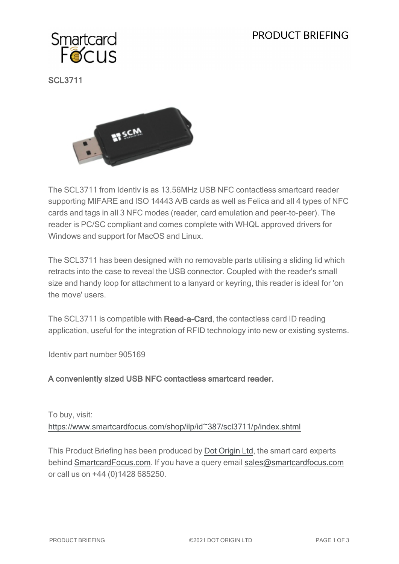# PRODUCT BRIFFING



SCL3711



The SCL3711 from Identiv is as 13.56MHz USB NFC contactless smartcard reader supporting MIFARE and ISO 14443 A/B cards as well as Felica and all 4 types of NFC cards and tags in all 3 NFC modes (reader, card emulation and peer-to-peer). The reader is PC/SC compliant and comes complete with WHQL approved drivers for Windows and support for MacOS and Linux.

The SCL3711 has been designed with no removable parts utilising a sliding lid which retracts into the case to reveal the USB connector. Coupled with the reader's small size and handy loop for attachment to a lanyard or keyring, this reader is ideal for 'on the move' users.

The SCL3711 is compatible with Read-a-Card, the contactless card ID reading application, useful for the integration of RFID technology into new or existing systems.

Identiv part number 905169

#### A conveniently sized USB NFC contactless smartcard reader.

To buy, visit: [https://www.smartcardfocus.com/shop/ilp/id~387/scl3711/p/index.shtml](https://www.smartcardfocus.com/shop/ilp/id~387/scl3711/p/index.shtml?utm_source=download&utm_medium=pdf&utm_campaign=scf-product-pdf)

This Product Briefing has been produced by Dot [Origin](https://www.dotorigin.com/) Ltd, the smart card experts behind [SmartcardFocus.com.](https://www.smartcardfocus.com/?utm_source=download&utm_medium=pdf&utm_campaign=scf-product-pdf) If you have a query email [sales@smartcardfocus.com](mailto:sales@smartcardfocus.com?subject=Product Briefing query) or call us on +44 (0)1428 685250.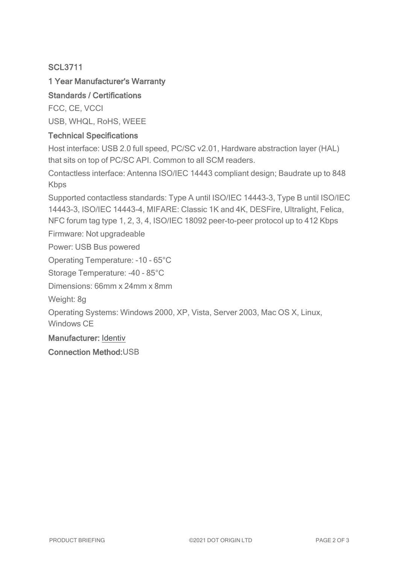## SCL3711

## 1 Year Manufacturer's Warranty

## Standards / Certifications

FCC, CE, VCCI USB, WHQL, RoHS, WEEE

#### Technical Specifications

Host interface: USB 2.0 full speed, PC/SC v2.01, Hardware abstraction layer (HAL) that sits on top of PC/SC API. Common to all SCM readers.

Contactless interface: Antenna ISO/IEC 14443 compliant design; Baudrate up to 848 Kbps

Supported contactless standards: Type A until ISO/IEC 14443-3, Type B until ISO/IEC 14443-3, ISO/IEC 14443-4, MIFARE: Classic 1K and 4K, DESFire, Ultralight, Felica, NFC forum tag type 1, 2, 3, 4, ISO/IEC 18092 peer-to-peer protocol up to 412 Kbps

Firmware: Not upgradeable

Power: USB Bus powered

Operating Temperature: -10 - 65°C

Storage Temperature: -40 - 85°C

Dimensions: 66mm x 24mm x 8mm

Weight: 8g

Operating Systems: Windows 2000, XP, Vista, Server 2003, Mac OS X, Linux, Windows CE

Manufacturer: [Identiv](http://www.identiv.com/)

Connection Method:USB